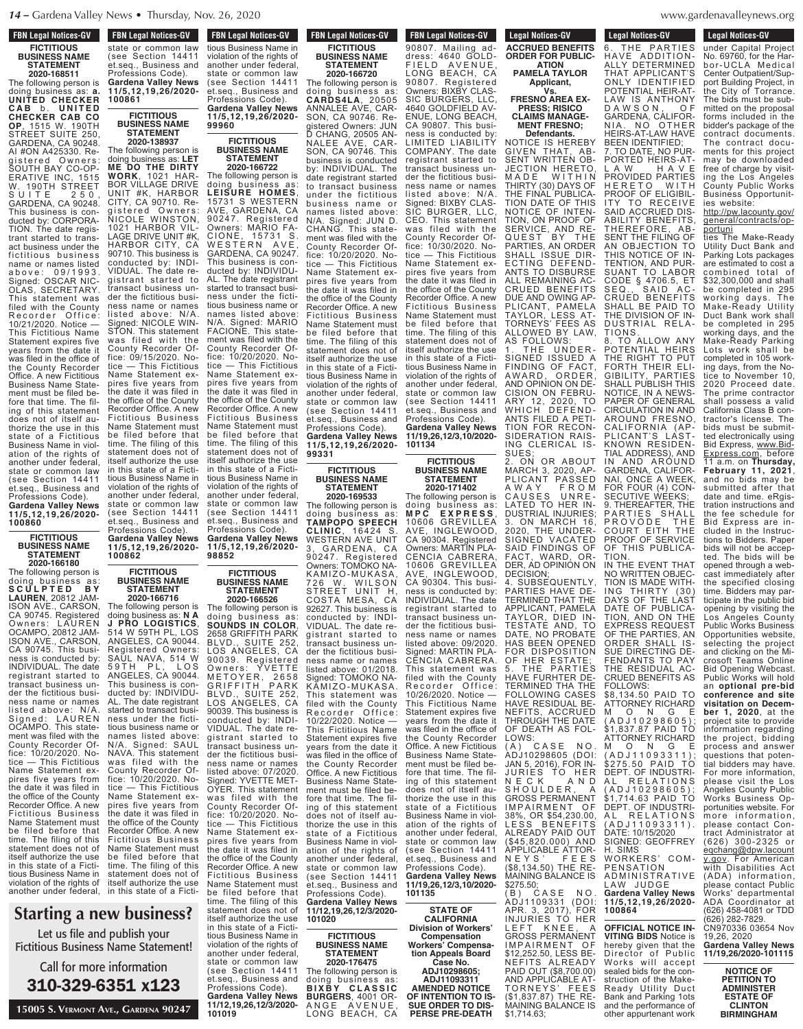## **FBN Legal Notices-GV FICTITIOUS BUSINESS NAME STATEMENT**

**2020-168511**

The following person is doing business as: **a. UNITED CHECKER C A B** b . **U N I T E D CHECKER CAB CO OP**, 1515 W. 190TH STREET SUITE 250, GARDENA, CA 90248. AI #ON A425330. Registered Owners: SOUTH BAY CO-OP-ERATIVE INC, 1515 W. 190TH STREET S U I T E 250, GARDENA, CA 90248. This business is conducted by: CORPORA-TION. The date registrant started to transact business under the fictitious business name or names listed a b o v e : 0 9 / 1 9 9 3 . Signed: OSCAR NIC-OLAS, SECRETARY. This statement was filed with the County<br>Recorder Office: Recorder Office: 10/21/2020. Notice — This Fictitious Name Statement expires five years from the date it was filed in the office of the County Recorder Office. A new Fictitious Business Name Statement must be filed before that time. The filing of this statement does not of itself authorize the use in this state of a Fictitious Business Name in violation of the rights of another under federal, state or common law (see Section 14411 et.seq., Business and Professions Code). **Gardena Valley News 11/5,12,19,26/2020-**

**100860 FICTITIOUS BUSINESS NAME**

**STATEMENT 2020-166180**

The following person is doing business as: **S C U L P T E D B Y LAUREN**, 20812 JAM-ISON AVE., CARSON, CA 90745. Registered Owners: LAUREN OCAMPO, 20812 JAM-ISON AVE., CARSON, CA 90745. This business is conducted by: INDIVIDUAL. The date registrant started to transact business under the fictitious business name or names listed above: Signed: LAUREN OCAMPO. This statement was filed with the County Recorder Office: 10/20/2020. Notice — This Fictitious Name Statement expires five years from the date it was filed in the office of the County Recorder Office. A new Fictitious Business Name Statement must be filed before that time. The filing of this statement does not of itself authorize the use in this state of a Fictitious Business Name in violation of the rights of

#### $w$  bucinose?  $\bf{w}$  dusiness;  $S$ tarting  $2n$ **Starting a new business?**

state or common law publish your .<br>Name Statementl Professional Professions Code **EXECO CONE**<br>
Let us file and publish your **11/5,12,19,26/2020- 100861** Fictitious Business Name Statement!

**Call for more information 99960** 310-329-6351 x123

**FBN Legal Notices-GV FIGURE 1998 IN THE STATE** tious Business Name in violation of the rights of another under federal, state or common law (see Section 14411 et.seq., Business and Professions Code). **Gardena Valley News 11/5,12,19,26/2020- FBN Legal Notices-GV TEN LEGAL NULLES-GV** state or common law (see Section 14411 et.seq., Business and Professions Code). **Gardena Valley News 11/5,12,19,26/2020- 100861**

**FICTITIOUS BUSINESS NAME STATEMENT 2020-138937**

**99960**

**FICTITIOUS BUSINESS NAME STATEMENT 2020-166722** The following person is doing business as: **LEISURE HOMES**, 15731 S WESTERN AVE, GARDENA, CA 90247. Registered Owners: MARIO FA-CIONE, 15731 S. WESTERN AVE, GARDENA, CA 90247. This business is conducted by: INDIVIDU-AL. The date registrant started to transact business under the fictitious business name or names listed above: N/A. Signed: MARIO FACIONE. This statement was filed with the County Recorder Office: 10/20/2020. Notice — This Fictitious Name Statement expires five years from the date it was filed in the office of the County Recorder Office. A new Fictitious Business Name Statement must be filed before that time. The filing of this statement does not of itself authorize the use in this state of a Fictitious Business Name in violation of the rights of another under federal, state or common law (see Section 14411 et.seq., Business and Professions Code). The following person doing business as: **LET ME DO THE DIRTY WORK**, 1021 HAR-BOR VILLAGE DRIVE UNIT #K, HARBOR CITY, CA 90710. Registered Owners: NICOLE WINSTON, 1021 HARBOR VIL-LAGE DRIVE UNIT #K, HARBOR CITY, CA 90710. This business is conducted by: INDI-VIDUAL. The date registrant started to transact business under the fictitious business name or names<br>listed above: N/A listed above: Signed: NICOLE WIN-STON. This statement was filed with the County Recorder Office: 09/15/2020. Notice — This Fictitious Name Statement expires five years from the date it was filed in the office of the County Recorder Office. A new Fictitious Business Name Statement must be filed before that time. The filing of this statement does not of itself authorize the use in this state of a Fictitious Business Name in violation of the rights of another under federal, state or common law (see Section 14411 et.seq., Business and Professions Code).

**Gardena Valley News 11/5,12,19,26/2020- 98852 Gardena Valley News 11/5,12,19,26/2020- 100862 FICTITIOUS**

**BUSINESS NAME** The following person is doing business as: **SOUNDS IN COLOR**, 2658 GRIFFITH PARK BLVD., SUITE 252, LOS ANGELES, CA 90039. Registered Owners: YVETTE M E T O Y E R , 2 6 5 8 GRIFFITH PARK BLVD., SUITE 252, LOS ANGELES, CA 90039. This business is conducted by: INDI-VIDUAL. The date registrant started to transact business under the fictitious business name or names listed above: 07/2020. Signed: YVETTE MET-OYER. This statement was filed with the County Recorder Office: 10/20/2020. Notice — This Fictitious Name Statement expires five years from the date it was filed in the office of the County Recorder Office. A new Fictitious Business Name Statement must be filed before that time. The filing of this statement does not of **BUSINESS NAME STATEMENT 2020-166716** The following person is doing business as: **N A J PRO LOGISTICS**, 514 W 59TH PL, LOS ANGELES, CA 90044. Registered Owners: SAUL NAVA, 514 W 59TH PL, LOS ANGELES, CA 90044. This business is conducted by: INDIVIDU-AL. The date registrant started to transact business under the fictitious business name or names listed above: N/A. Signed: SAUL NAVA. This statement was filed with the County Recorder Office: 10/20/2020. Notice — This Fictitious Name Statement expires five years from the date it was filed in the office of the County Recorder Office. A new Fictitious Business Name Statement must be filed before that time. The filing of this statement does not of itself authorize the use another under federal, in this state of a Ficti-<br>.

itself authorize the use in this state of a Fictitious Business Name in violation of the rights of another under federal,<br>state or common law (see Section 14411 et.seq., Business and Professions Code). **Gardena Valley News 11/12,19,26,12/3/2020- 101019**

**FICTITIOUS**

**STATEMENT 2020-166526**

### **FBN Legal Notices-GV FICTITIOUS BUSINESS NAME STATEMENT 2020-166720**

The following person is doing business as: **CARDS4LA**, 20505 ANNALEE AVE, CAR-SON, CA 90746. Registered Owners: JUN D CHANG, 20505 AN-NALEE AVE, CAR-SON, CA 90746. This business is conducted by: INDIVIDUAL. The date registrant started to transact business under the fictitious business name or names listed above: N/A. Signed: JUN D. CHANG. This statement was filed with the County Recorder Office: 10/20/2020. Notice — This Fictitious Name Statement expires five years from the date it was filed in the office of the County Recorder Office. A new Fictitious Business Name Statement must be filed before that time. The filing of this statement does not of itself authorize the use in this state of a Fictitious Business Name in violation of the rights of another under federal, state or common law (see Section 14411 et.seq., Business and Professions Code). **Gardena Valley News 11/5,12,19,26/2020-**

**99331 FICTITIOUS BUSINESS NAME STATEMENT**

**2020-169533** The following person is

doing business as: **TAMPOPO SPEECH CLINIC**, 16424 S. WESTERN AVE UNIT 3, GARDENA, CA 90247. Registered Owners: TOMOKO NA-KAMIZO-MUKASA,<br>726 W. WILSON 726 W. WILSON STREET UNIT H, COSTA MESA, CA 92627. This business is conducted by: INDI-VIDUAL. The date registrant started to transact business under the fictitious business name or names listed above: 01/2018. Signed: TOMOKO NA-KĀMIZO-MUKASA. This statement was filed with the County<br>Recorder Office: Office: 10/22/2020. Notice — This Fictitious Name Statement expires five years from the date it was filed in the office of the County Recorder Office. A néw Fictitious Business Name Statement must be filed before that time. The filing of this statement does not of itself authorize the use in this state of a Fictitious Business Name in violation of the rights of another under federal, state or common law (see Section 14411 et.seq., Business and Professions Code). **Gardena Valley News 11/12,19,26,12/3/2020-**

**101020 FICTITIOUS BUSINESS NAME STATEMENT 2020-176475**

The following person is doing business as: **B I X B Y C L A S S I C BURGERS**, 4001 OR-ANGE AVENUE, LONG BEACH, CA

DUE AND OWING AP-PLICANT, PAMELA TAYLOR, LESS AT-TORNEYS' FEES AS ALLOWED BY LAW, AS FOLLOWS:<br>1. THE UNDER-1. THE UNDER-SIGNED ISSUED A FINDING OF FACT, AWARD, ORDER, AND OPINION ON DE-CISION ON FEBRU-ARY 12, 2020, TO WHICH DEFEND-ANTS FILED A PETI-TION FOR RECON-**FBN Legal Notices-GV LOW LEGAL MULLES-CIV** 90807. Mailing address: 4640 GOLD-FIELD AVENUE, FIELD AVENUE,<br>LONG BEACH, CA 90807. Registered Owners: BIXBY CLAS-SIC BURGERS, LLC 4640 GOLDFIELD AV-ENUE, LONG BEACH, CA 90807. This business is conducted by: LIMITED LIABILITY COMPANY. The date registrant started to transact business under the fictitious business name or names listed above: N/A. Signed: BIXBY CLAS-SIC BURGER, LLC, CEO. This statement was filed with the County Recorder Office: 10/30/2020. Notice — This Fictitious Name Statement expires five years from the date it was filed in the office of the County Recorder Office. A new Fictitious Business Name Statement must be filed before that time. The filing of this statement does not of itself authorize the use in this state of a Fictitious Business Name in violation of the rights of another under federal, state or common law (see Section 14411 et.seq., Business and Professions Code). **Gardena Valley News**

**11/19,26,12/3,10/2020- 101134**

SUES;

**STATEMENT 2020-171402** The following person is doing business as: **M P C E X P R E S S** , MPC EXPRESS,<br>10606 GREVILLEA<br>AVE, INGLEWOOD, **INGLEWOOD** CA 90304 Registered Owners: MARTIN PLA-CENCIA CABRERA, 10606 GREVILLEA AVE, INGLEWOOD, CA 90304. This business is conducted by: INDIVIDUAL. The date registrant started to transact business under the fictitious business name or names listed above: 09/2020. Signed: MARTIN PLA-CENCIA CABRERA. This statement was filed with the County Recorder Office: 10/26/2020. Notice — This Fictitious Name Statement expires five years from the date it was filed in the office of the County Recorder Office. A new Fictitious Business Name Statement must be filed before that time. The filing of this statement does not of itself authorize the use in this state of a Fictitious Business Name in violation of the rights of another under federal, state or common law (see Section 14411 et.seq., Business and Professions Code). **Gardena Valley News**

**101135 STATE OF CALIFORNIA**

**Workers' Compensation Appeals Board Case No. ADJ10298605; ADJ11093311**

**ACCRUED BENEFITS**

PAID OUT (\$8,700.00) AND APPLICABLE AT-TORNEYS' FEES (\$1,837.87) THE RE-MAINING BALANCE IS \$1,714.63; **PERSE PRE-DEATH**

APR. 3, 2017), FOR INJURIES TO HER LEFT KNEE, A EROSS PERMANENT<br>IMPAIRMENT OF **IMPAIRMENT** \$12,252.50, LESS BE-NEFITS ALREADY

#### denavalleynews.org abharand<sub>)</sub> nombroi<sub>d</sub>  $WWW,9$  $\ldots$  $\ldots$ <sub>5</sub>.

ies website:

portuni

http://pw.lacounty.gov/ general/contracts/op-

ties The Make-Ready Utility Duct Bank and Parking Lots packages are estimated to cost a combined total of \$32,300,000 and shall be completed in 295 working days. The Make-Ready Utility Duct Bank work shall be completed in 295 working days, and the Make-Ready Parking Lots work shall be completed in 105 working days, from the Notice to November 10, 2020 Proceed date. The prime contractor shall possess a valid California Class B contractor's license. The bids must be submitted electronically using Bid Express, www.Bid-Express.com, before 11 a.m. on **Thursday, February 11, 2021**, and no bids may be submitted after that date and time. eRgistration instructions and the fee schedule for Bid Express are included in the Instructions to Bidders. Paper bids will not be accepted. The bids will be opened through a webcast immediately after the specified closing time. Bidders may participate in the public bid opening by visiting the Los Angeles County Public Works Business Opportunities website, selecting the project and clicking on the Microsoft Teams Online Bid Opening Webcast. Public Works will hold an **optional pre-bid conference and site visitation on December 1, 2020**, at the project site to provide information regarding the project, bidding process and answer questions that potential bidders may have. For more information, please visit the Los

**Legal Notices-GV** 

Legal Nutries-GV under Capital Project No. 69760, for the Harbor-UCLA Medical Center Outpatient/Support Building Project, in the City of Torrance. The bids must be submitted on the proposal forms included in the bidder's package of the contract documents. The contract documents for this project may be downloaded free of charge by visiting the Los Angeles County Public Works Business Opportunit-

**Legal Notices-GV Legal Notif** THE PARTIES HAVE ADDITION-ALLY DETERMINED THAT APPLICANT'S ONLY IDENTIFIED POTENTIAL HEIR-AT-LAW IS ANTHONY D A W S O N , O F GARDENA, CALIFOR-NIA. NO OTHER HEIRS-AT-LAW HAVE BEEN IDENTIFIED: 7. TO DATE, NO PUR-PORTED HEIRS-AT-L A W H A V E PROVIDED PARTIES H E R E T O W I T H PROOF OF ELIGIBIL-ITY TO RECEIVE SAID ACCRUED DIS-ABILITY BENEFITS, THEREFORE, AB-SENT THE FILING OF AN OBJECTION TO AN OBJECTION TO THIS NOTICE OF IN-TENTION, AND PUR-SUANT TO LABOR CODE § 4706.5, SEQ., SAID AC-CRUED BENEFITS  $L$ egal Notices-GV **PERSEAS PRESENSE ACCRUED BENEFITS ORDER FOR PUBLIC-PAMELA TAYLOR Applicant, FRESNO AREA EX-PRESS; RISICO CLAIMS MANAGE-MENT FRESNO; Defendants.** NOTICE IS HEREBY GIVEN THAT, AB-SENT WRITTEN OB-JECTION HERETO, M A D E W I T H I N THIRTY (30) DAYS OF THE FINAL PUBLICA-TION DATE OF THIS NOTICE OF INTEN-TION, ON PROOF OF SERVICE, AND RE-QUEST BY THE PARTIES, AN ORDER SHALL ISSUE DIR-ECTING DEFEND-ANTS TO DISBURSE ALL REMAINING AC CRUED BENEFITS

**ATION**

**Vs.**

TION S. 8. TO ALLOW ANY POTENTIAL HEIRS THE RIGHT TO PUT FORTH THEIR ELI-GIBILITY, PARTIES SHALL PUBLISH THIS NOTICE, IN A NEWS-PAPER OF GENERAL CIRCULATION IN AND AROUND FRESNO, CALIFORNIA (AP-PLICANT'S LAST-KNOWN RESIDEN-TIAL ADDRESS), AND IN AND AROUND GARDENA, CALIFOR-NAI, ONCE A WEEK, FOR FOUR (4) CON-SECUTIVE WEEKS; 9. THEREAFTER, THE PARTIES SHALL<br>PROVODE THE P R O V O D E T H E COURT EITH THE PROOF OF SERVICE OF THIS PUBLICA-TION. SIDERATION RAIS-ING CLERICAL IS-2. ON OR ABOUT MARCH 3, 2020, AP-PLICANT PASSED A W A Y F R O M CAUSES UNRE-LATED TO HER IN-DUSTRIAL INJURIES; 3. ON MARCH 16, 2020, THE UNDER-SIGNED VACATED FINDINGS OF<br>WARD, OR-

SHALL BE PAID TO THE DIVISION OF IN-DUSTRIAL RELA-

IN THE EVENT THAT NO WRITTEN OBJEC-TION IS MADE WITH-ING THIRTY (30) DAYS OF THE LAST DATE OF PUBLICA-TION, AND ON THE EXPRESS REQUEST OF THE PARTIES, AN ORDER SHALL IS-SUE DIRECTING DE-FENDANTS TO PAY THE RESIDUAL AC-CRUED BENEFITS AS FOLLOWS: \$8,134.50 PAID TO ATTORNEY RICHARD<br>M O N G F M O N G E ( A D J 1 0 2 9 8 6 0 5 ) ; \$1,837.87 PAID TO ATTORNEY RICHARD M O N G E<br>(ADJ11093311);<br>\$275.50 PAID TO DEPT. OF INDUSTRI-AL RELATIONS ( A D J 1 0 2 9 8 6 0 5 ) ; \$1,714.63 PAID TO DEPT. OF INDUSTRI-RELATIONS ( A D J 1 1 0 9 3 3 1 1 ) . DATE: 10/15/2020 SIGNED: GEOFFREY H. SIMS SUBSEQUENTLY, THE PARTIES

WORKERS' COM-PE N SATION A D M I N I S T R A T I V E AW JUDGE **Gardena Valley News** ADJ1109331 (DOI:

**11/5,12,19,26/2020- 100864 OFFICIAL NOTICE IN-VITING BIDS** Notice is

hereby given that the Director of Public Works will accept sealed bids for the construction of the Make-Ready Utility Duct Bank and Parking 1ots and the performance of other appurtenant work

Angeles County Public Works Business Op-<br>portunities website. For more information, please contact Contract Administrator at (626) 300-2325 or eqchang@dpw.lacount y.gov. For American with Disabilities Act (ADA) information, please contact Public Works' departmental ADA Coordinator at (626) 458-4081 or TDD (626) 282-7829. CN970336 03654 Nov 19,26, 2020 **Gardena Valley News 11/19,26/2020-101115 NOTICE OF PETITION TO ADMINISTER ESTATE OF CLINTON BIRMINGHAM** Case No.

### SAID FINDINGS<br>FACT. WARD. 0 DER, AD OPINION ON DECISION; PARTIES HAVE DE-TERMINED THAT THE APPLICANT, PAMELA TAYLOR, DIED IN-TESTATE AND, TO DATE, NO PROBATE HAS BEEN OPENED<br>FOR DISPOSITION FOR DISPOSITION OF HER ESTATE; HAVE FURHTER DE-TERMINED THA THE FOLLOWING CASES HAVE RESIDUAL BE-NEFITS, ACCRUED THROUGH THE DATE OF DEATH AS FOL-LOWS: ( A ) C A S E N O .<br>ADJ10298605 (DOI: JAN 5, 2016), FOR IN-JURIES TO HER N E C K A N D S H O U L D E R , A GROSS PERMANENT IMPAIRMENT OF 38%, OR \$54,230.00, LESS BENEFITS ALREADY PAID OUT (\$45,820.000) AND APPLICABLE ATTOR-N E Y S ' F E E S (\$8,134.50) THE RE-MAINING BALANCE IS \$275.50; (B) CASE NO. **11/19,26,12/3,10/2020-**

**Division of Workers' Compensation**

**AMENDED NOTICE OF INTENTION TO IS-SUE ORDER TO DIS-**

**FICTITIOUS BUSINESS NAME**